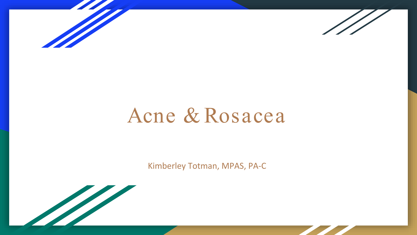



# Acne & Rosacea

Kimberley Totman, MPAS, PA-C

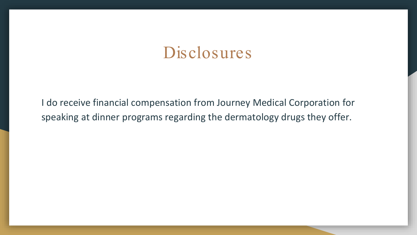#### Disclosures

I do receive financial compensation from Journey Medical Corporation for speaking at dinner programs regarding the dermatology drugs they offer.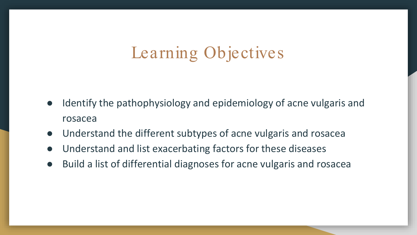# Learning Objectives

- Identify the pathophysiology and epidemiology of acne vulgaris and rosacea
- Understand the different subtypes of acne vulgaris and rosacea
- Understand and list exacerbating factors for these diseases
- Build a list of differential diagnoses for acne vulgaris and rosacea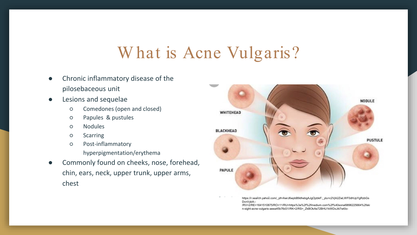## W hat is Acne Vulgaris?

- Chronic inflammatory disease of the pilosebaceous unit
- Lesions and sequelae
	- Comedones (open and closed)
	- Papules & pustules
	- Nodules
	- Scarring
	- Post-inflammatory
		- hyperpigmentation/erythema
- Commonly found on cheeks, nose, forehead, chin, ears, neck, upper trunk, upper arms, chest



https://r.search.yahoo.com/\_ylt=AwrJ6wpbB9dhebgAJgOjzbkF;\_ylu=c2VjA2ZwLWF0dHJpYgRzbGs DcnVybA--

/RV=2/RE=1641510875/RO=11/RU=https%3a%2f%2fmedium.com%2f%40sonal9896225664%2fski n-sight-acne-vulgaris-aeea45b76d31/RK=2/RS=\_ZkBOkAe72BHU1kWDxJiti7wt0o-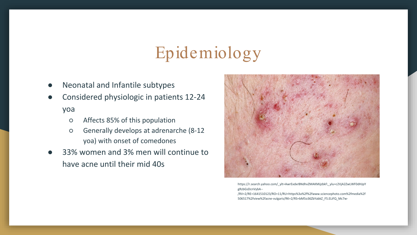# Epidemiology

- Neonatal and Infantile subtypes
- Considered physiologic in patients 12-24 yoa
	- Affects 85% of this population
	- Generally develops at adrenarche (8-12 yoa) with onset of comedones
- 33% women and 3% men will continue to have acne until their mid 40s



https://r.search.yahoo.com/\_ylt=AwrExdxrBNdhvZMAKMijzbkF;\_ylu=c2VjA2ZwLWF0dHJpY gRzbGsDcnVybA--

/RV=2/RE=1641510123/RO=11/RU=https%3a%2f%2fwww.sciencephoto.com%2fmedia%2f 506517%2fview%2facne-vulgaris/RK=2/RS=bM5o36ZbYabkZ\_F5.ELiFQ\_Mc7w-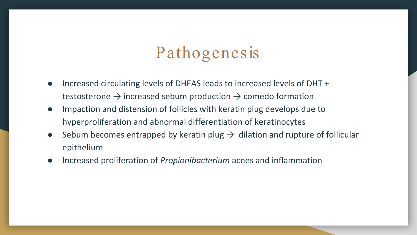# Pathogenesis

- Increased circulating levels of DHEAS leads to increased levels of DHT + testosterone  $\rightarrow$  increased sebum production  $\rightarrow$  comedo formation
- Impaction and distension of follicles with keratin plug develops due to hyperproliferation and abnormal differentiation of keratinocytes
- Sebum becomes entrapped by keratin plug  $\rightarrow$  dilation and rupture of follicular epithelium
- Increased proliferation of *Propionibacterium* acnes and inflammation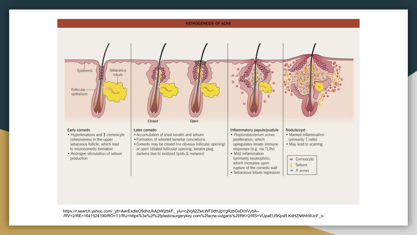

https://r.search.yahoo.com/\_ylt=AwrExdleO9dhzJkAj3WjzbkF;\_ylu=c2VjA2ZwLWF0dHJpYgRzbGsDcnVybA--/RV=2/RE=1641524190/RO=11/RU=https%3a%2f%2fplasticsurgerykey.com%2facne-vulgaris%2f/RK=2/RS=VUpaEU5KpsR.KdHZNtthhWJcF\_o-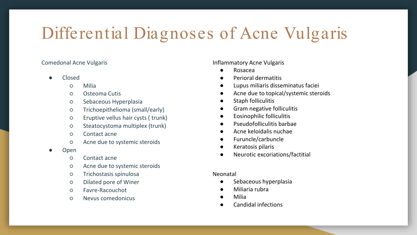# Differential Diagnoses of Acne Vulgaris

#### Comedonal Acne Vulgaris

- Closed
	- Milia
	- Osteoma Cutis
	- Sebaceous Hyperplasia
	- Trichoepithelioma (small/early)
	- Eruptive vellus hair cysts ( trunk)
	- Steatocystoma multiplex (trunk)
	- Contact acne
	- Acne due to systemic steroids
- **Open** 
	- Contact acne
	- Acne due to systemic steroids
	- Trichostasis spinulosa
	- Dilated pore of Winer
	- Favre-Racouchot
	- Nevus comedonicus

Inflammatory Acne Vulgaris

- **Rosacea**
- Perioral dermatitis
- Lupus miliaris disseminatus faciei
- Acne due to topical/systemic steroids
- Staph folliculitis
- Gram negative folliculitis
- **Eosinophilic folliculitis**
- Pseudofolliculitis barbae
- Acne keloidalis nuchae
- Furuncle/carbuncle
- Keratosis pilaris
- Neurotic excoriations/factitial

#### Neonatal

- Sebaceous hyperplasia
- Miliaria rubra
- **Milia**
- Candidal infections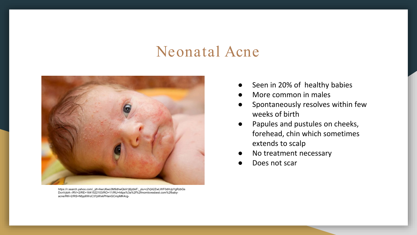#### Neonatal Acne



https://r.search.yahoo.com/\_ylt=AwrJ6wo3M9dhwQkA1j6jzbkF;\_ylu=c2VjA2ZwLWF0dHJpYgRzbGs DcnVybA--/RV=2/RE=1641522103/RO=11/RU=https%3a%2f%2fmomlovesbest.com%2fbabyacne/RK=2/RS=Nfpp6WoC37pWxkPHanGCmpMK4cg-

- Seen in 20% of healthy babies
- More common in males
- Spontaneously resolves within few weeks of birth
- Papules and pustules on cheeks, forehead, chin which sometimes extends to scalp
- No treatment necessary
- Does not scar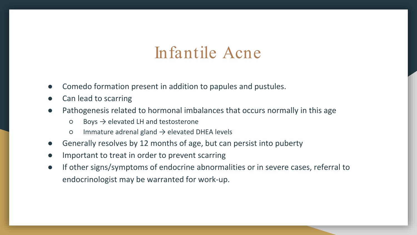#### Infantile Acne

- Comedo formation present in addition to papules and pustules.
- Can lead to scarring
- Pathogenesis related to hormonal imbalances that occurs normally in this age
	- $\circ$  Boys  $\rightarrow$  elevated LH and testosterone
	- $\circ$  Immature adrenal gland  $\rightarrow$  elevated DHEA levels
- Generally resolves by 12 months of age, but can persist into puberty
- Important to treat in order to prevent scarring
- If other signs/symptoms of endocrine abnormalities or in severe cases, referral to endocrinologist may be warranted for work-up.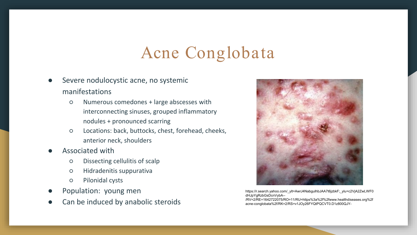## Acne Conglobata

- Severe nodulocystic acne, no systemic manifestations
	- Numerous comedones + large abscesses with interconnecting sinuses, grouped inflammatory nodules + pronounced scarring
	- Locations: back, buttocks, chest, forehead, cheeks, anterior neck, shoulders
- Associated with
	- Dissecting cellulitis of scalp
	- Hidradenitis suppurativa
	- Pilonidal cysts
- Population: young men
- Can be induced by anabolic steroids



https://r.search.yahoo.com/\_ylt=AwrJ4NabgulhbJAA7t6jzbkF;\_ylu=c2VjA2ZwLWF0 dHJpYgRzbGsDcnVybA--

/RV=2/RE=1642722075/RO=11/RU=https%3a%2f%2fwww.healthdiseases.org%2f acne-conglobata%2f/RK=2/RS=v1JOy26FYQtPQCVT0.D1z800QJY-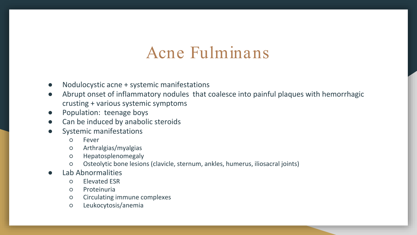#### Acne Fulminans

- Nodulocystic acne + systemic manifestations
- Abrupt onset of inflammatory nodules that coalesce into painful plaques with hemorrhagic crusting + various systemic symptoms
- Population: teenage boys
- Can be induced by anabolic steroids
- Systemic manifestations
	- Fever
	- Arthralgias/myalgias
	- Hepatosplenomegaly
	- Osteolytic bone lesions (clavicle, sternum, ankles, humerus, iliosacral joints)
- Lab Abnormalities
	- Elevated ESR
	- Proteinuria
	- Circulating immune complexes
	- Leukocytosis/anemia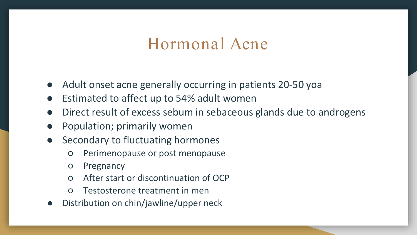#### Hormonal Acne

- Adult onset acne generally occurring in patients 20-50 yoa
- Estimated to affect up to 54% adult women
- Direct result of excess sebum in sebaceous glands due to androgens
- Population; primarily women
- Secondary to fluctuating hormones
	- Perimenopause or post menopause
	- Pregnancy
	- After start or discontinuation of OCP
	- Testosterone treatment in men
- Distribution on chin/jawline/upper neck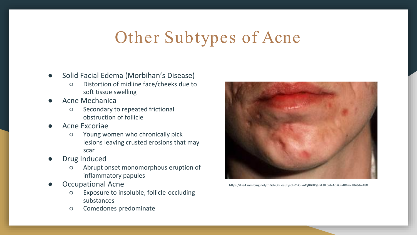# Other Subtypes of Acne

- Solid Facial Edema (Morbihan's Disease)
	- Distortion of midline face/cheeks due to soft tissue swelling
- Acne Mechanica
	- Secondary to repeated frictional obstruction of follicle
- Acne Excoriae
	- Young women who chronically pick lesions leaving crusted erosions that may scar
- Drug Induced
	- Abrupt onset monomorphous eruption of inflammatory papules
- Occupational Acne
	- Exposure to insoluble, follicle-occluding substances
	- Comedones predominate



https://tse4.mm.bing.net/th?id=OIP.os6zysoFiCFO-vnQj0BDXgHaEt&pid=Api&P=0&w=284&h=180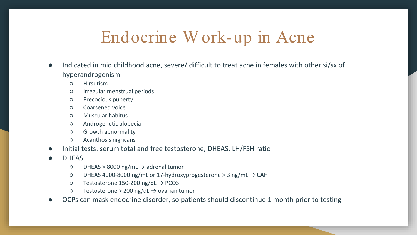## Endocrine W ork-up in Acne

- Indicated in mid childhood acne, severe/ difficult to treat acne in females with other si/sx of hyperandrogenism
	- Hirsutism
	- Irregular menstrual periods
	- Precocious puberty
	- Coarsened voice
	- Muscular habitus
	- Androgenetic alopecia
	- Growth abnormality
	- Acanthosis nigricans
- Initial tests: serum total and free testosterone, DHEAS, LH/FSH ratio
- **DHEAS** 
	- $O$  DHEAS > 8000 ng/mL  $\rightarrow$  adrenal tumor
	- DHEAS 4000-8000 ng/mL or 17-hydroxyprogesterone > 3 ng/mL → CAH
	- Testosterone 150-200 ng/dL → PCOS
	- $\circ$  Testosterone > 200 ng/dL  $\rightarrow$  ovarian tumor
- OCPs can mask endocrine disorder, so patients should discontinue 1 month prior to testing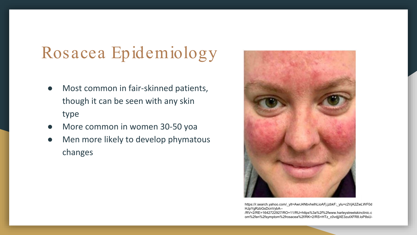# Rosacea Epidemiology

- Most common in fair-skinned patients, though it can be seen with any skin type
- More common in women 30-50 yoa
- Men more likely to develop phymatous changes



https://r.search.yahoo.com/\_ylt=AwrJ4NbvhelhLioAFj.jzbkF;\_ylu=c2VjA2ZwLWF0d HJpYgRzbGsDcnVybA--

/RV=2/RE=1642722927/RO=11/RU=https%3a%2f%2fwww.harleystreetskinclinic.c om%2fen%2fsymptom%2frosacea%2f/RK=2/RS=HTz\_c0vdjjXE3zutXFR8.loP8sU-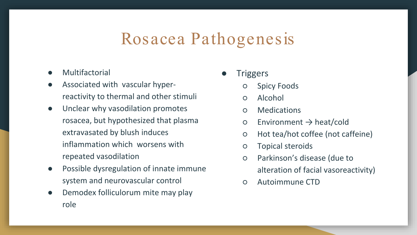#### Rosacea Pathogenesis

- Multifactorial
- Associated with vascular hyperreactivity to thermal and other stimuli
- Unclear why vasodilation promotes rosacea, but hypothesized that plasma extravasated by blush induces inflammation which worsens with repeated vasodilation
- Possible dysregulation of innate immune system and neurovascular control
- Demodex folliculorum mite may play role
- **Triggers** 
	- **Spicy Foods**
	- Alcohol
	- Medications
	- $\circ$  Environment  $\rightarrow$  heat/cold
	- Hot tea/hot coffee (not caffeine)
	- Topical steroids
	- Parkinson's disease (due to alteration of facial vasoreactivity)
	- Autoimmune CTD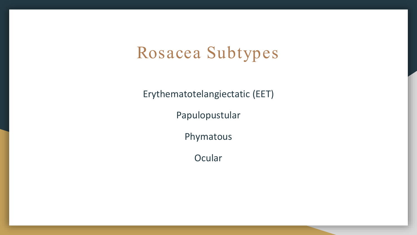## Rosacea Subtypes

Erythematotelangiectatic (EET)

Papulopustular

Phymatous

**Ocular**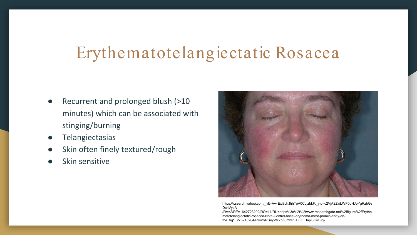# Erythematotelangiectatic Rosacea

- Recurrent and prolonged blush (>10 minutes) which can be associated with stinging/burning
- **Telangiectasias**
- Skin often finely textured/rough
- Skin sensitive



https://r.search.yahoo.com/\_ylt=AwrExl9ch.lhhToA0CqjzbkF;\_ylu=c2VjA2ZwLWF0dHJpYgRzbGs DcnVybA--

/RV=2/RE=1642723292/RO=11/RU=https%3a%2f%2fwww.researchgate.net%2ffigure%2fErythe matotelangiectatic-rosacea-Note-Central-facial-erythema-most-promin-ently-onthe\_fig1\_275243264/RK=2/RS=yVVYbIt6mhP\_a.uZFBapl3K4Lug-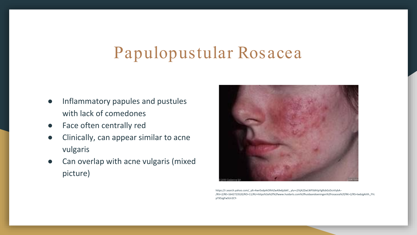# Papulopustular Rosacea

- Inflammatory papules and pustules with lack of comedones
- Face often centrally red
- Clinically, can appear similar to acne vulgaris
- Can overlap with acne vulgaris (mixed picture)



https://r.search.yahoo.com/\_ylt=AwrExdpAiOlhhZwA9x6jzbkF;\_ylu=c2VjA2ZwLWF0dHJpYgRzbGsDcnVybA-- /RV=2/RE=1642723520/RO=11/RU=https%3a%2f%2fwww.huidarts.com%2fhuidaandoeningen%2frosacea%2f/RK=2/RS=twbJgAiVh\_FYc pTX5zgFw5Ur2CY-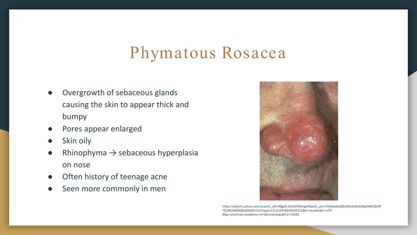## Phymatous Rosacea

- Overgrowth of sebaceous glands causing the skin to appear thick and bumpy
- Pores appear enlarged
- Skin oily
- Rhinophyma  $\rightarrow$  sebaceous hyperplasia on nose
- Often history of teenage acne
- Seen more commonly in men



https://search.yahoo.com/search;\_ylt=A0geK.ZIiulhZV8ArgxXNyoA;\_ylu=Y29sbwNiZjEEcG9zAzEEdnRpZANCQVNF TElORUNfMQRzZWMDcXJ3?type=C211US978D20150721&fr=mcafee&ei=UTF-8&p=american+academy+of+dermatology&fr2=12642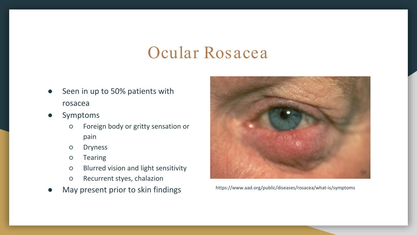## Ocular Rosacea

- Seen in up to 50% patients with rosacea
- Symptoms
	- Foreign body or gritty sensation or pain
	- Dryness
	- Tearing
	- Blurred vision and light sensitivity
	- Recurrent styes, chalazion
- May present prior to skin findings https://www.aad.org/public/diseases/rosacea/what-is/symptoms

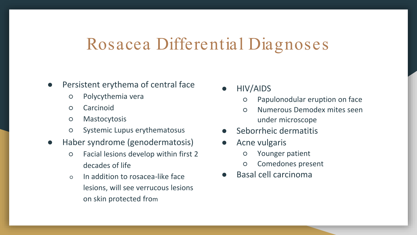#### Rosacea Differential Diagnoses

- Persistent erythema of central face
	- Polycythemia vera
	- Carcinoid
	- Mastocytosis
	- Systemic Lupus erythematosus
- Haber syndrome (genodermatosis)
	- Facial lesions develop within first 2 decades of life
	- In addition to rosacea-like face lesions, will see verrucous lesions on skin protected from
- HIV/AIDS
	- Papulonodular eruption on face
	- Numerous Demodex mites seen under microscope
- Seborrheic dermatitis
- Acne vulgaris
	- Younger patient
	- Comedones present
- **Basal cell carcinoma**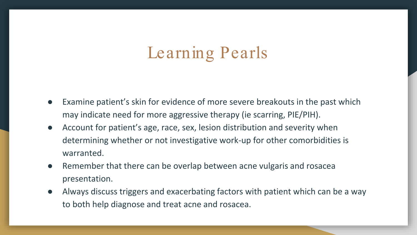# Learning Pearls

- Examine patient's skin for evidence of more severe breakouts in the past which may indicate need for more aggressive therapy (ie scarring, PIE/PIH).
- Account for patient's age, race, sex, lesion distribution and severity when determining whether or not investigative work-up for other comorbidities is warranted.
- Remember that there can be overlap between acne vulgaris and rosacea presentation.
- Always discuss triggers and exacerbating factors with patient which can be a way to both help diagnose and treat acne and rosacea.